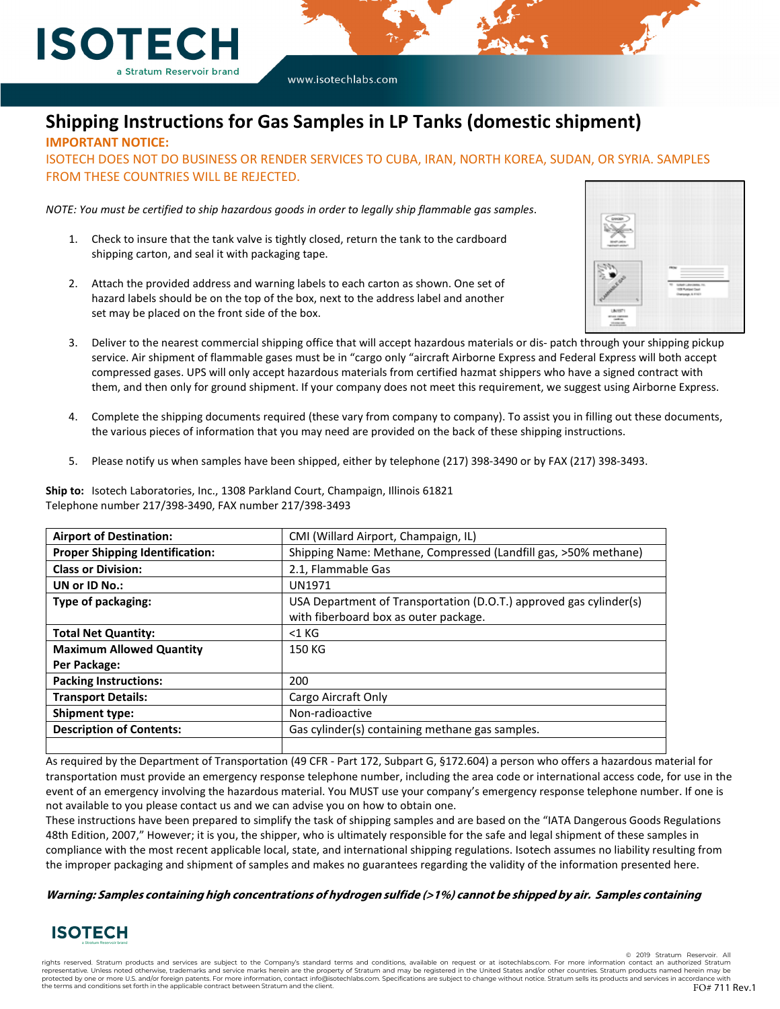

# **Shipping Instructions for Gas Samples in LP Tanks (domestic shipment)**

**IMPORTANT NOTICE:**

ISOTECH DOES NOT DO BUSINESS OR RENDER SERVICES TO CUBA, IRAN, NORTH KOREA, SUDAN, OR SYRIA. SAMPLES FROM THESE COUNTRIES WILL BE REJECTED.

*NOTE: You must be certified to ship hazardous goods in order to legally ship flammable gas samples*.

- 1. Check to insure that the tank valve is tightly closed, return the tank to the cardboard shipping carton, and seal it with packaging tape.
- 2. Attach the provided address and warning labels to each carton as shown. One set of hazard labels should be on the top of the box, next to the address label and another set may be placed on the front side of the box.



- 3. Deliver to the nearest commercial shipping office that will accept hazardous materials or dis- patch through your shipping pickup service. Air shipment of flammable gases must be in "cargo only "aircraft Airborne Express and Federal Express will both accept compressed gases. UPS will only accept hazardous materials from certified hazmat shippers who have a signed contract with them, and then only for ground shipment. If your company does not meet this requirement, we suggest using Airborne Express.
- 4. Complete the shipping documents required (these vary from company to company). To assist you in filling out these documents, the various pieces of information that you may need are provided on the back of these shipping instructions.
- 5. Please notify us when samples have been shipped, either by telephone (217) 398-3490 or by FAX (217) 398-3493.

**Ship to:** Isotech Laboratories, Inc., 1308 Parkland Court, Champaign, Illinois 61821 Telephone number 217/398-3490, FAX number 217/398-3493

| <b>Airport of Destination:</b>         | CMI (Willard Airport, Champaign, IL)                               |  |  |
|----------------------------------------|--------------------------------------------------------------------|--|--|
| <b>Proper Shipping Identification:</b> | Shipping Name: Methane, Compressed (Landfill gas, >50% methane)    |  |  |
| <b>Class or Division:</b>              | 2.1, Flammable Gas                                                 |  |  |
| UN or ID No.:                          | <b>UN1971</b>                                                      |  |  |
| Type of packaging:                     | USA Department of Transportation (D.O.T.) approved gas cylinder(s) |  |  |
|                                        | with fiberboard box as outer package.                              |  |  |
| <b>Total Net Quantity:</b>             | $<$ 1 $K$ G                                                        |  |  |
| <b>Maximum Allowed Quantity</b>        | 150 KG                                                             |  |  |
| Per Package:                           |                                                                    |  |  |
| <b>Packing Instructions:</b>           | 200                                                                |  |  |
| <b>Transport Details:</b>              | Cargo Aircraft Only                                                |  |  |
| <b>Shipment type:</b>                  | Non-radioactive                                                    |  |  |
| <b>Description of Contents:</b>        | Gas cylinder(s) containing methane gas samples.                    |  |  |
|                                        |                                                                    |  |  |

As required by the Department of Transportation (49 CFR - Part 172, Subpart G, §172.604) a person who offers a hazardous material for transportation must provide an emergency response telephone number, including the area code or international access code, for use in the event of an emergency involving the hazardous material. You MUST use your company's emergency response telephone number. If one is not available to you please contact us and we can advise you on how to obtain one.

These instructions have been prepared to simplify the task of shipping samples and are based on the "IATA Dangerous Goods Regulations 48th Edition, 2007," However; it is you, the shipper, who is ultimately responsible for the safe and legal shipment of these samples in compliance with the most recent applicable local, state, and international shipping regulations. Isotech assumes no liability resulting from the improper packaging and shipment of samples and makes no guarantees regarding the validity of the information presented here.

#### **Warning: Samples containing high concentrations of hydrogen sulfide (>1%) cannot be shipped by air. Samples containing**



© 2019 Stratum Re

rights reserved. Stratum products and services are subject to the Company's standard terms and conditions, available on request or at isotechlabs.com. For more information contact an authorized Stratum representative. Unless noted otherwise, trademarks and service marks herein are the property of Stratum and may be registered in the United States and/or other countries. Stratum products named herein may be protected by one or more U.S. and/or foreign patents. For more information, contact info@isotechlabs.com. Specifications are subject to change without notice. Stratum sells its products and services in accordance with the terms and conditions set forth in the applicable contract between Stratum and the client.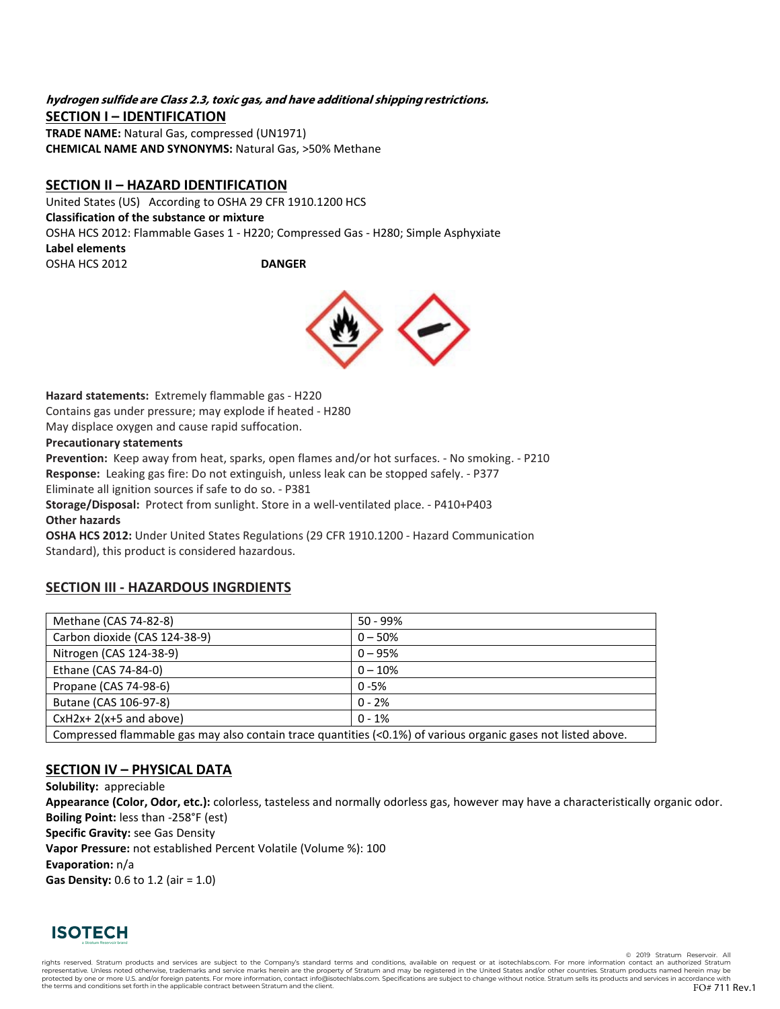### **hydrogen sulfide are Class 2.3, toxic gas, and have additional shipping restrictions. SECTION I – IDENTIFICATION**

**TRADE NAME:** Natural Gas, compressed (UN1971) **CHEMICAL NAME AND SYNONYMS:** Natural Gas, >50% Methane

# **SECTION II – HAZARD IDENTIFICATION**

United States (US) According to OSHA 29 CFR 1910.1200 HCS **Classification of the substance or mixture** OSHA HCS 2012: Flammable Gases 1 - H220; Compressed Gas - H280; Simple Asphyxiate **Label elements** OSHA HCS 2012 **DANGER**



**Hazard statements:** Extremely flammable gas - H220 Contains gas under pressure; may explode if heated - H280 May displace oxygen and cause rapid suffocation.

### **Precautionary statements**

**Prevention:** Keep away from heat, sparks, open flames and/or hot surfaces. - No smoking. - P210 **Response:** Leaking gas fire: Do not extinguish, unless leak can be stopped safely. - P377 Eliminate all ignition sources if safe to do so. - P381

**Storage/Disposal:** Protect from sunlight. Store in a well-ventilated place. - P410+P403 **Other hazards**

**OSHA HCS 2012:** Under United States Regulations (29 CFR 1910.1200 - Hazard Communication Standard), this product is considered hazardous.

# **SECTION III - HAZARDOUS INGRDIENTS**

| Methane (CAS 74-82-8)                                                                                         | $50 - 99%$ |  |  |  |
|---------------------------------------------------------------------------------------------------------------|------------|--|--|--|
| Carbon dioxide (CAS 124-38-9)                                                                                 | $0 - 50%$  |  |  |  |
| Nitrogen (CAS 124-38-9)                                                                                       | $0 - 95%$  |  |  |  |
| Ethane (CAS 74-84-0)                                                                                          | $0 - 10%$  |  |  |  |
| Propane (CAS 74-98-6)                                                                                         | $0 - 5%$   |  |  |  |
| Butane (CAS 106-97-8)                                                                                         | $0 - 2%$   |  |  |  |
| $CxH2x+2(x+5)$ and above)                                                                                     | $0 - 1%$   |  |  |  |
| Compressed flammable gas may also contain trace quantities (<0.1%) of various organic gases not listed above. |            |  |  |  |

# **SECTION IV – PHYSICAL DATA**

**Solubility:** appreciable **Appearance (Color, Odor, etc.):** colorless, tasteless and normally odorless gas, however may have a characteristically organic odor. **Boiling Point:** less than -258°F (est) **Specific Gravity:** see Gas Density **Vapor Pressure:** not established Percent Volatile (Volume %): 100 **Evaporation:** n/a **Gas Density:** 0.6 to 1.2 (air = 1.0)



© 2019 Stratum Reser

rights reserved. Stratum products and services are subject to the Company's standard terms and conditions, available on request or at isotechlabs.com. For more information contact an authorized Stratum representative. Unless noted otherwise, trademarks and service marks herein are the property of Stratum and may be registered in the United States and/or other countries. Stratum products named herein may be protected by o the terms and conditions set forth in the applicable contract between Stratum and the client.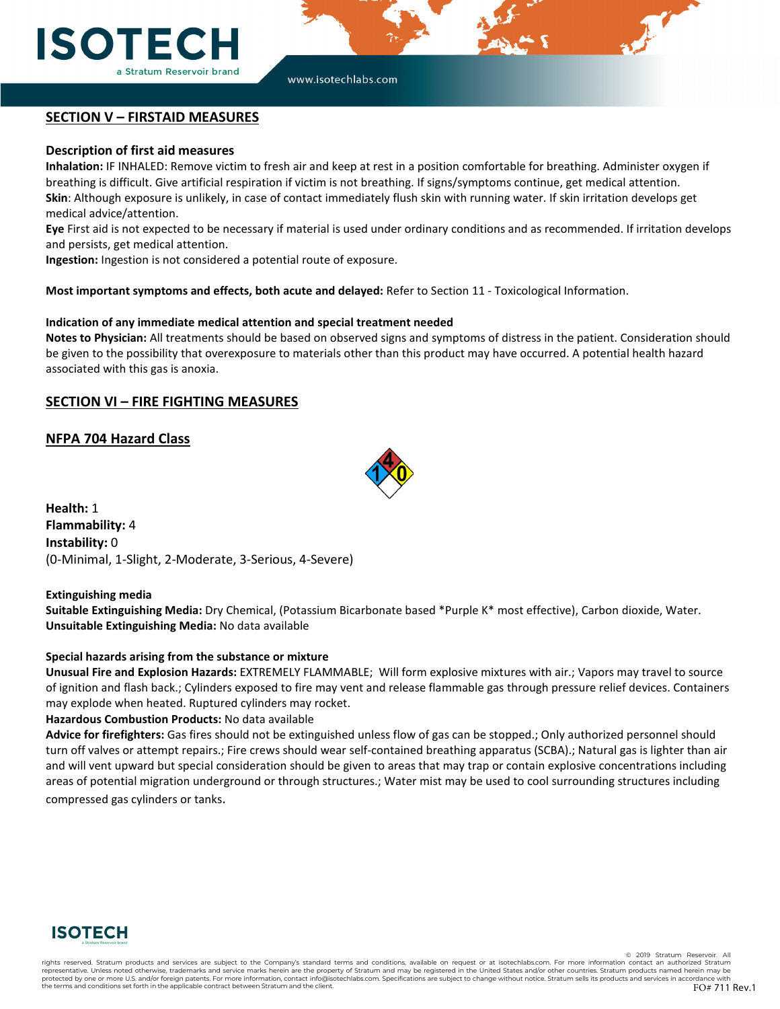

# **SECTION V – FIRSTAID MEASURES**

#### **Description of first aid measures**

**Inhalation:** IF INHALED: Remove victim to fresh air and keep at rest in a position comfortable for breathing. Administer oxygen if breathing is difficult. Give artificial respiration if victim is not breathing. If signs/symptoms continue, get medical attention. **Skin**: Although exposure is unlikely, in case of contact immediately flush skin with running water. If skin irritation develops get medical advice/attention.

**Eye** First aid is not expected to be necessary if material is used under ordinary conditions and as recommended. If irritation develops and persists, get medical attention.

**Ingestion:** Ingestion is not considered a potential route of exposure.

**Most important symptoms and effects, both acute and delayed:** Refer to Section 11 - Toxicological Information.

#### **Indication of any immediate medical attention and special treatment needed**

**Notes to Physician:** All treatments should be based on observed signs and symptoms of distress in the patient. Consideration should be given to the possibility that overexposure to materials other than this product may have occurred. A potential health hazard associated with this gas is anoxia.

### **SECTION VI – FIRE FIGHTING MEASURES**

**NFPA 704 Hazard Class**



**Health:** 1 **Flammability:** 4 **Instability:** 0 (0-Minimal, 1-Slight, 2-Moderate, 3-Serious, 4-Severe)

#### **Extinguishing media**

**Suitable Extinguishing Media:** Dry Chemical, (Potassium Bicarbonate based \*Purple K\* most effective), Carbon dioxide, Water. **Unsuitable Extinguishing Media:** No data available

#### **Special hazards arising from the substance or mixture**

**Unusual Fire and Explosion Hazards:** EXTREMELY FLAMMABLE; Will form explosive mixtures with air.; Vapors may travel to source of ignition and flash back.; Cylinders exposed to fire may vent and release flammable gas through pressure relief devices. Containers may explode when heated. Ruptured cylinders may rocket.

#### **Hazardous Combustion Products:** No data available

**Advice for firefighters:** Gas fires should not be extinguished unless flow of gas can be stopped.; Only authorized personnel should turn off valves or attempt repairs.; Fire crews should wear self-contained breathing apparatus (SCBA).; Natural gas is lighter than air and will vent upward but special consideration should be given to areas that may trap or contain explosive concentrations including areas of potential migration underground or through structures.; Water mist may be used to cool surrounding structures including compressed gas cylinders or tanks.



© 2019 Stratum Re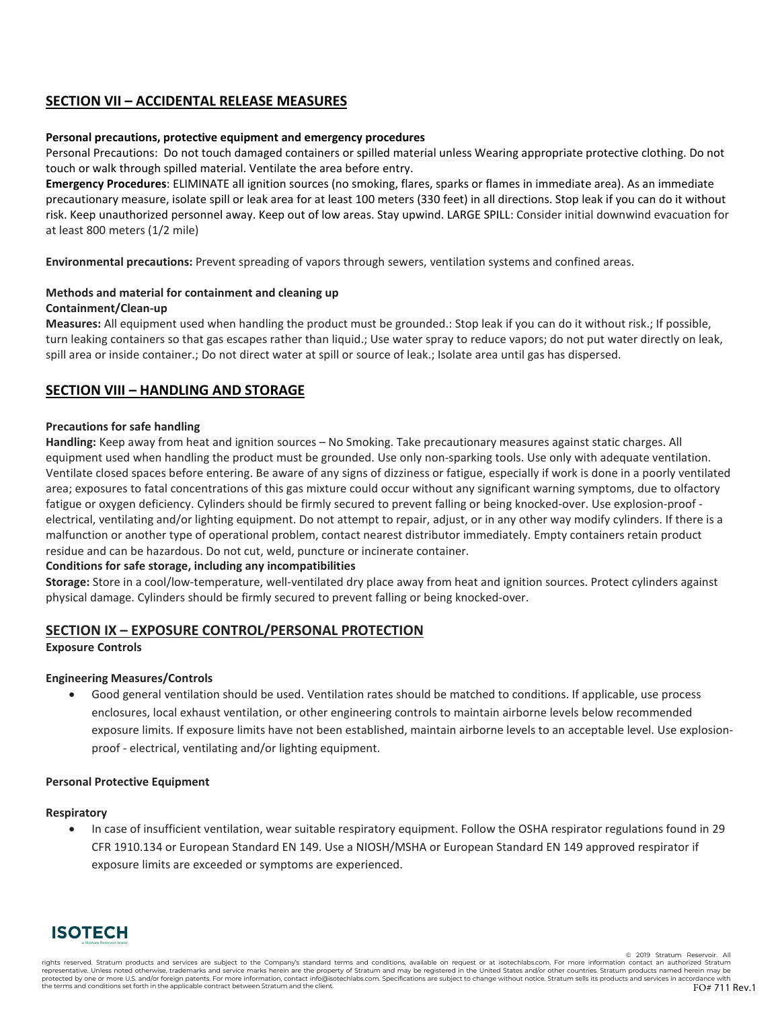# **SECTION VII – ACCIDENTAL RELEASE MEASURES**

### **Personal precautions, protective equipment and emergency procedures**

Personal Precautions: Do not touch damaged containers or spilled material unless Wearing appropriate protective clothing. Do not touch or walk through spilled material. Ventilate the area before entry.

**Emergency Procedures**: ELIMINATE all ignition sources (no smoking, flares, sparks or flames in immediate area). As an immediate precautionary measure, isolate spill or leak area for at least 100 meters (330 feet) in all directions. Stop leak if you can do it without risk. Keep unauthorized personnel away. Keep out of low areas. Stay upwind. LARGE SPILL: Consider initial downwind evacuation for at least 800 meters (1/2 mile)

**Environmental precautions:** Prevent spreading of vapors through sewers, ventilation systems and confined areas.

# **Methods and material for containment and cleaning up**

#### **Containment/Clean-up**

**Measures:** All equipment used when handling the product must be grounded.: Stop leak if you can do it without risk.; If possible, turn leaking containers so that gas escapes rather than liquid.; Use water spray to reduce vapors; do not put water directly on leak, spill area or inside container.; Do not direct water at spill or source of leak.; Isolate area until gas has dispersed.

# **SECTION VIII – HANDLING AND STORAGE**

#### **Precautions for safe handling**

**Handling:** Keep away from heat and ignition sources – No Smoking. Take precautionary measures against static charges. All equipment used when handling the product must be grounded. Use only non-sparking tools. Use only with adequate ventilation. Ventilate closed spaces before entering. Be aware of any signs of dizziness or fatigue, especially if work is done in a poorly ventilated area; exposures to fatal concentrations of this gas mixture could occur without any significant warning symptoms, due to olfactory fatigue or oxygen deficiency. Cylinders should be firmly secured to prevent falling or being knocked-over. Use explosion-proof electrical, ventilating and/or lighting equipment. Do not attempt to repair, adjust, or in any other way modify cylinders. If there is a malfunction or another type of operational problem, contact nearest distributor immediately. Empty containers retain product residue and can be hazardous. Do not cut, weld, puncture or incinerate container.

### **Conditions for safe storage, including any incompatibilities**

**Storage:** Store in a cool/low-temperature, well-ventilated dry place away from heat and ignition sources. Protect cylinders against physical damage. Cylinders should be firmly secured to prevent falling or being knocked-over.

# **SECTION IX – EXPOSURE CONTROL/PERSONAL PROTECTION**

#### **Exposure Controls**

#### **Engineering Measures/Controls**

• Good general ventilation should be used. Ventilation rates should be matched to conditions. If applicable, use process enclosures, local exhaust ventilation, or other engineering controls to maintain airborne levels below recommended exposure limits. If exposure limits have not been established, maintain airborne levels to an acceptable level. Use explosionproof - electrical, ventilating and/or lighting equipment.

#### **Personal Protective Equipment**

#### **Respiratory**

• In case of insufficient ventilation, wear suitable respiratory equipment. Follow the OSHA respirator regulations found in 29 CFR 1910.134 or European Standard EN 149. Use a NIOSH/MSHA or European Standard EN 149 approved respirator if exposure limits are exceeded or symptoms are experienced.



© 2019 Stratum Reser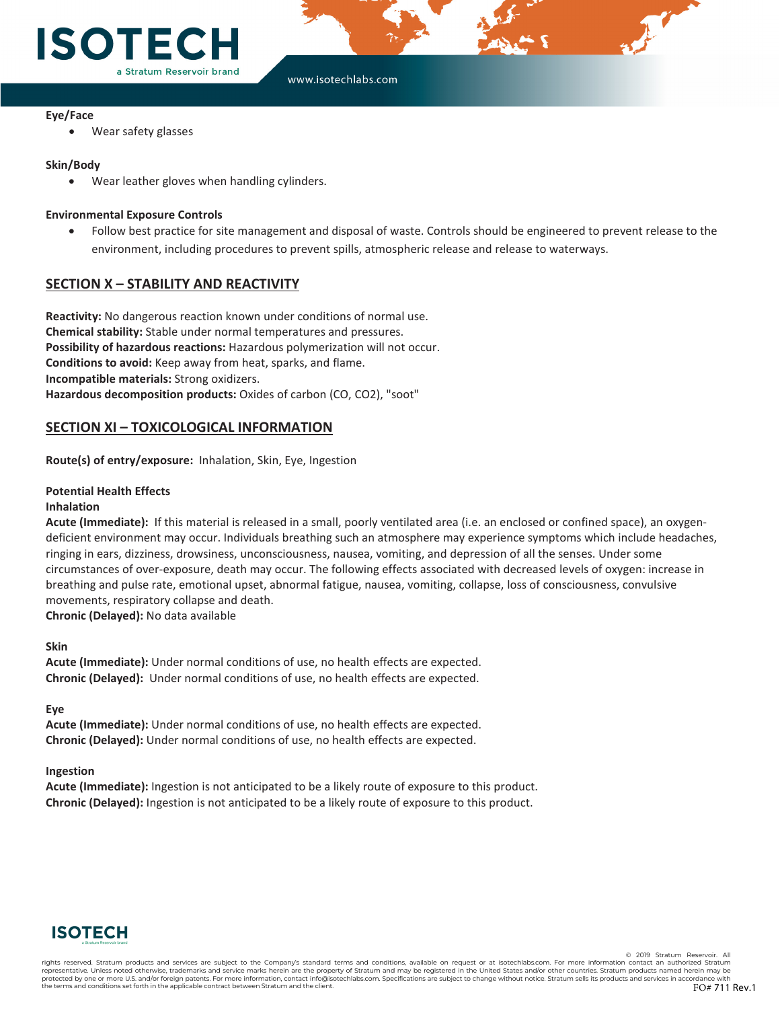

### **Eye/Face**

Wear safety glasses

#### **Skin/Body**

Wear leather gloves when handling cylinders.

#### **Environmental Exposure Controls**

• Follow best practice for site management and disposal of waste. Controls should be engineered to prevent release to the environment, including procedures to prevent spills, atmospheric release and release to waterways.

# **SECTION X – STABILITY AND REACTIVITY**

**Reactivity:** No dangerous reaction known under conditions of normal use. **Chemical stability:** Stable under normal temperatures and pressures. **Possibility of hazardous reactions:** Hazardous polymerization will not occur. **Conditions to avoid:** Keep away from heat, sparks, and flame. **Incompatible materials:** Strong oxidizers. **Hazardous decomposition products:** Oxides of carbon (CO, CO2), "soot"

# **SECTION XI – TOXICOLOGICAL INFORMATION**

**Route(s) of entry/exposure:** Inhalation, Skin, Eye, Ingestion

#### **Potential Health Effects**

#### **Inhalation**

**Acute (Immediate):** If this material is released in a small, poorly ventilated area (i.e. an enclosed or confined space), an oxygendeficient environment may occur. Individuals breathing such an atmosphere may experience symptoms which include headaches, ringing in ears, dizziness, drowsiness, unconsciousness, nausea, vomiting, and depression of all the senses. Under some circumstances of over-exposure, death may occur. The following effects associated with decreased levels of oxygen: increase in breathing and pulse rate, emotional upset, abnormal fatigue, nausea, vomiting, collapse, loss of consciousness, convulsive movements, respiratory collapse and death.

**Chronic (Delayed):** No data available

#### **Skin**

**Acute (Immediate):** Under normal conditions of use, no health effects are expected. **Chronic (Delayed):** Under normal conditions of use, no health effects are expected.

**Eye**

**Acute (Immediate):** Under normal conditions of use, no health effects are expected. **Chronic (Delayed):** Under normal conditions of use, no health effects are expected.

#### **Ingestion**

**Acute (Immediate):** Ingestion is not anticipated to be a likely route of exposure to this product. **Chronic (Delayed):** Ingestion is not anticipated to be a likely route of exposure to this product.



© 2019 Stratum Res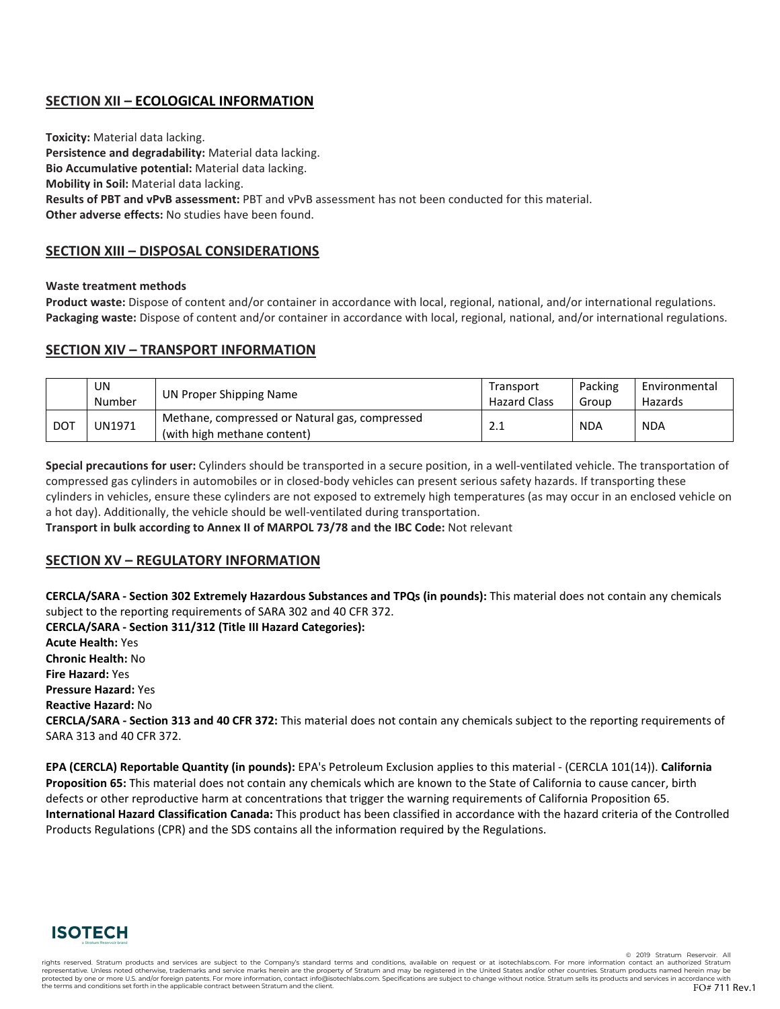# **SECTION XII – ECOLOGICAL INFORMATION**

**Toxicity:** Material data lacking. **Persistence and degradability:** Material data lacking. **Bio Accumulative potential:** Material data lacking. **Mobility in Soil:** Material data lacking. **Results of PBT and vPvB assessment:** PBT and vPvB assessment has not been conducted for this material. **Other adverse effects:** No studies have been found.

# **SECTION XIII – DISPOSAL CONSIDERATIONS**

#### **Waste treatment methods**

**Product waste:** Dispose of content and/or container in accordance with local, regional, national, and/or international regulations. **Packaging waste:** Dispose of content and/or container in accordance with local, regional, national, and/or international regulations.

# **SECTION XIV – TRANSPORT INFORMATION**

|            | UN<br>Number  | UN Proper Shipping Name                                                       | Transport<br><b>Hazard Class</b> | Packing<br>Group | Environmental<br>Hazards |
|------------|---------------|-------------------------------------------------------------------------------|----------------------------------|------------------|--------------------------|
| <b>DOT</b> | <b>UN1971</b> | Methane, compressed or Natural gas, compressed<br>(with high methane content) | <b>4.</b>                        | <b>NDA</b>       | <b>NDA</b>               |

**Special precautions for user:** Cylinders should be transported in a secure position, in a well-ventilated vehicle. The transportation of compressed gas cylinders in automobiles or in closed-body vehicles can present serious safety hazards. If transporting these cylinders in vehicles, ensure these cylinders are not exposed to extremely high temperatures (as may occur in an enclosed vehicle on a hot day). Additionally, the vehicle should be well-ventilated during transportation.

**Transport in bulk according to Annex II of MARPOL 73/78 and the IBC Code:** Not relevant

### **SECTION XV – REGULATORY INFORMATION**

**CERCLA/SARA - Section 302 Extremely Hazardous Substances and TPQs (in pounds):** This material does not contain any chemicals subject to the reporting requirements of SARA 302 and 40 CFR 372.

**CERCLA/SARA - Section 311/312 (Title III Hazard Categories): Acute Health:** Yes **Chronic Health:** No **Fire Hazard:** Yes **Pressure Hazard:** Yes **Reactive Hazard:** No **CERCLA/SARA - Section 313 and 40 CFR 372:** This material does not contain any chemicals subject to the reporting requirements of SARA 313 and 40 CFR 372.

**EPA (CERCLA) Reportable Quantity (in pounds):** EPA's Petroleum Exclusion applies to this material - (CERCLA 101(14)). **California Proposition 65:** This material does not contain any chemicals which are known to the State of California to cause cancer, birth defects or other reproductive harm at concentrations that trigger the warning requirements of California Proposition 65. **International Hazard Classification Canada:** This product has been classified in accordance with the hazard criteria of the Controlled Products Regulations (CPR) and the SDS contains all the information required by the Regulations.



© 2019 Stratum Rese